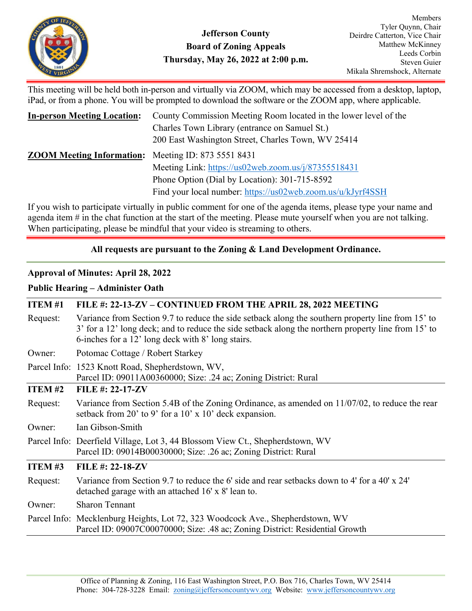

This meeting will be held both in-person and virtually via ZOOM, which may be accessed from a desktop, laptop, iPad, or from a phone. You will be prompted to download the software or the ZOOM app, where applicable.

| <b>In-person Meeting Location:</b>                         | County Commission Meeting Room located in the lower level of the                                    |
|------------------------------------------------------------|-----------------------------------------------------------------------------------------------------|
|                                                            | Charles Town Library (entrance on Samuel St.)<br>200 East Washington Street, Charles Town, WV 25414 |
| <b>ZOOM Meeting Information:</b> Meeting ID: 873 5551 8431 |                                                                                                     |
|                                                            | Meeting Link: https://us02web.zoom.us/j/87355518431                                                 |
|                                                            | Phone Option (Dial by Location): 301-715-8592                                                       |
|                                                            | Find your local number: https://us02web.zoom.us/u/kJyrf4SSH                                         |

If you wish to participate virtually in public comment for one of the agenda items, please type your name and agenda item # in the chat function at the start of the meeting. Please mute yourself when you are not talking. When participating, please be mindful that your video is streaming to others.

# **All requests are pursuant to the Zoning & Land Development Ordinance.**

## **Approval of Minutes: April 28, 2022**

## **Public Hearing – Administer Oath**

| <b>ITEM#1</b> | FILE #: 22-13-ZV – CONTINUED FROM THE APRIL 28, 2022 MEETING                                                                                                                                                                                                  |
|---------------|---------------------------------------------------------------------------------------------------------------------------------------------------------------------------------------------------------------------------------------------------------------|
| Request:      | Variance from Section 9.7 to reduce the side setback along the southern property line from 15' to<br>3' for a 12' long deck; and to reduce the side setback along the northern property line from 15' to<br>6-inches for a 12' long deck with 8' long stairs. |
| Owner:        | Potomac Cottage / Robert Starkey                                                                                                                                                                                                                              |
|               | Parcel Info: 1523 Knott Road, Shepherdstown, WV,<br>Parcel ID: 09011A00360000; Size: .24 ac; Zoning District: Rural                                                                                                                                           |
| <b>ITEM#2</b> | FILE #: $22-17-ZV$                                                                                                                                                                                                                                            |
| Request:      | Variance from Section 5.4B of the Zoning Ordinance, as amended on 11/07/02, to reduce the rear<br>setback from 20' to 9' for a 10' x 10' deck expansion.                                                                                                      |
| Owner:        | Ian Gibson-Smith                                                                                                                                                                                                                                              |
|               | Parcel Info: Deerfield Village, Lot 3, 44 Blossom View Ct., Shepherdstown, WV<br>Parcel ID: 09014B00030000; Size: .26 ac; Zoning District: Rural                                                                                                              |
| <b>ITEM#3</b> | <b>FILE #: 22-18-ZV</b>                                                                                                                                                                                                                                       |
| Request:      | Variance from Section 9.7 to reduce the 6' side and rear setbacks down to 4' for a 40' x 24'<br>detached garage with an attached 16' x 8' lean to.                                                                                                            |
| Owner:        | <b>Sharon Tennant</b>                                                                                                                                                                                                                                         |
|               | Parcel Info: Mecklenburg Heights, Lot 72, 323 Woodcock Ave., Shepherdstown, WV<br>Parcel ID: 09007C00070000; Size: .48 ac; Zoning District: Residential Growth                                                                                                |